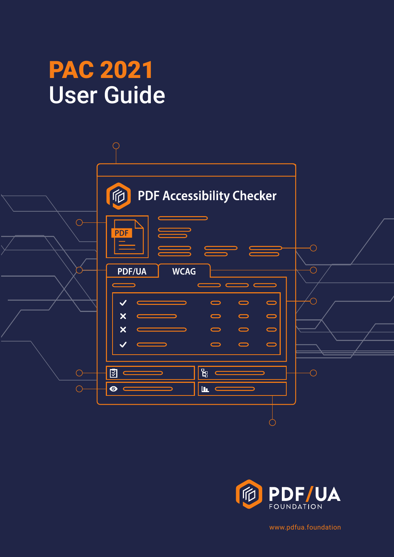# PAC 2021 User Guide





[www.pdfua.foundation](http://www.pdfua.foundation)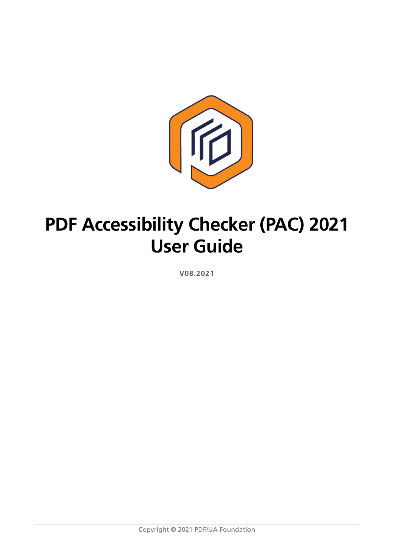

## **PDF Accessibility Checker (PAC) 2021 User Guide**

**V08.2021**

Copyright © 2021 PDF/UA Foundation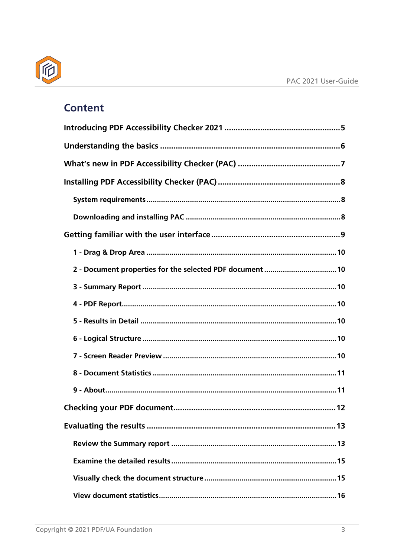

## **Content**

| 2 - Document properties for the selected PDF document  10 |
|-----------------------------------------------------------|
|                                                           |
|                                                           |
|                                                           |
|                                                           |
|                                                           |
|                                                           |
|                                                           |
|                                                           |
|                                                           |
|                                                           |
|                                                           |
|                                                           |
|                                                           |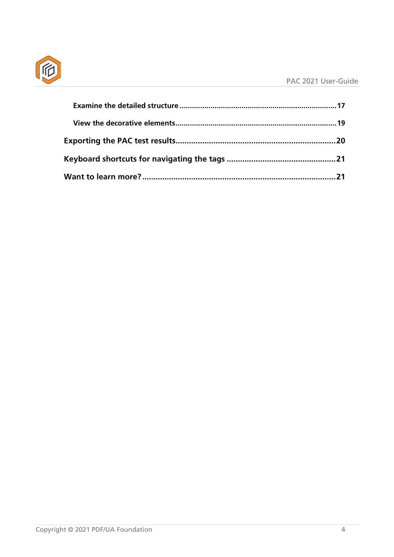

| Want to learn more?……………………………………………………………………………………21 |  |
|-------------------------------------------------------|--|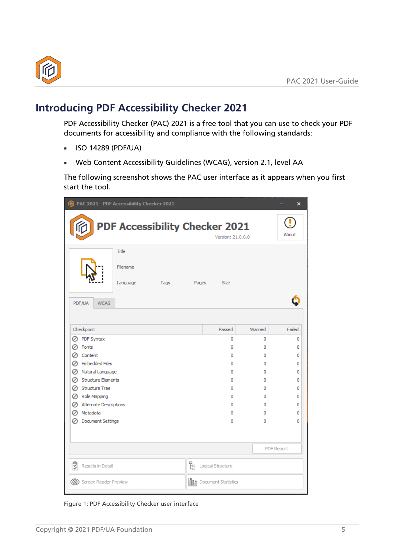

## <span id="page-4-0"></span>**Introducing PDF Accessibility Checker 2021**

PDF Accessibility Checker (PAC) 2021 is a free tool that you can use to check your PDF documents for accessibility and compliance with the following standards:

- ISO 14289 (PDF/UA)
- Web Content Accessibility Guidelines (WCAG), version 2.1, level AA

The following screenshot shows the PAC user interface as it appears when you first start the tool.

| PAC 2021 - PDF Accessibility Checker 2021 |                                       |      |       |                               |        | $\times$          |
|-------------------------------------------|---------------------------------------|------|-------|-------------------------------|--------|-------------------|
|                                           | <b>PDF Accessibility Checker 2021</b> |      |       | Version: 21.0.0.0             |        | About             |
|                                           | Title                                 |      |       |                               |        |                   |
|                                           | Filename                              |      |       |                               |        |                   |
|                                           | Language                              | Tags | Pages | <b>Size</b>                   |        |                   |
| PDF/UA<br><b>WCAG</b>                     |                                       |      |       |                               |        |                   |
|                                           |                                       |      |       |                               |        |                   |
| Checkpoint                                |                                       |      |       | Passed                        | Warned | Failed            |
| PDF Syntax<br>Ø                           |                                       |      |       | 0                             | 0      | 0                 |
| Fonts                                     |                                       |      |       | 0                             | 0      | 0                 |
| Content                                   |                                       |      |       | 0                             | 0      | 0                 |
| <b>Embedded Files</b><br>∽                |                                       |      |       | 0                             | 0      | 0                 |
| Natural Language<br>Ø                     |                                       |      |       | 0                             | 0      | 0                 |
| <b>Structure Elements</b><br>Ø            |                                       |      |       | 0                             | 0      | 0                 |
| <b>Structure Tree</b><br>Ø                |                                       |      |       | 0                             | 0      | 0                 |
| ◯ Role Mapping                            |                                       |      |       | 0                             | 0      | 0                 |
| Alternate Descriptions                    |                                       |      |       | 0                             | 0      | 0                 |
| <b>⊘</b> Metadata                         |                                       |      |       | 0                             | 0      | 0                 |
| <b>Document Settings</b><br>Ø             |                                       |      |       | 0                             | 0      | 0                 |
|                                           |                                       |      |       |                               |        |                   |
|                                           |                                       |      |       |                               |        | <b>PDF Report</b> |
| 2<br>Results in Detail                    |                                       |      | k     | Logical Structure             |        |                   |
| ∞<br><b>Screen Reader Preview</b>         |                                       |      |       | <b>IN Document Statistics</b> |        |                   |

Figure 1: PDF Accessibility Checker user interface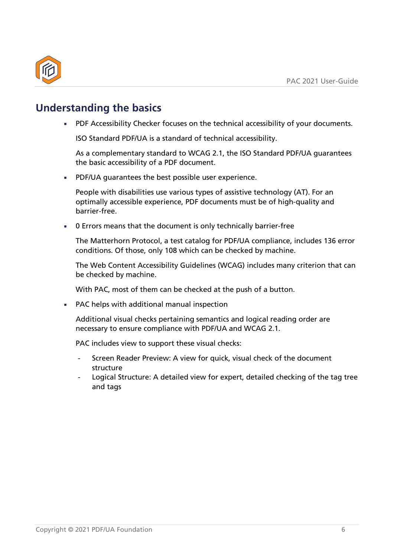

## <span id="page-5-0"></span>**Understanding the basics**

**■ PDF Accessibility Checker focuses on the technical accessibility of your documents.** 

ISO Standard PDF/UA is a standard of technical accessibility.

As a complementary standard to WCAG 2.1, the ISO Standard PDF/UA guarantees the basic accessibility of a PDF document.

■ PDF/UA quarantees the best possible user experience.

People with disabilities use various types of assistive technology (AT). For an optimally accessible experience, PDF documents must be of high-quality and barrier-free.

■ 0 Errors means that the document is only technically barrier-free

The Matterhorn Protocol, a test catalog for PDF/UA compliance, includes 136 error conditions. Of those, only 108 which can be checked by machine.

The Web Content Accessibility Guidelines (WCAG) includes many criterion that can be checked by machine.

With PAC, most of them can be checked at the push of a button.

■ PAC helps with additional manual inspection

Additional visual checks pertaining semantics and logical reading order are necessary to ensure compliance with PDF/UA and WCAG 2.1.

PAC includes view to support these visual checks:

- Screen Reader Preview: A view for quick, visual check of the document structure
- Logical Structure: A detailed view for expert, detailed checking of the tag tree and tags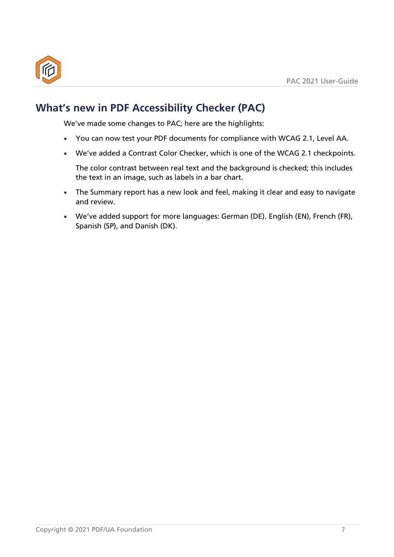

## <span id="page-6-0"></span>**What's new in PDF Accessibility Checker (PAC)**

We've made some changes to PAC; here are the highlights:

- ◾ You can now test your PDF documents for compliance with WCAG 2.1, Level AA.
- We've added a Contrast Color Checker, which is one of the WCAG 2.1 checkpoints.

The color contrast between real text and the background is checked; this includes the text in an image, such as labels in a bar chart.

- **EXTE:** The Summary report has a new look and feel, making it clear and easy to navigate and review.
- ◾ We've added support for more languages: German (DE). English (EN), French (FR), Spanish (SP), and Danish (DK).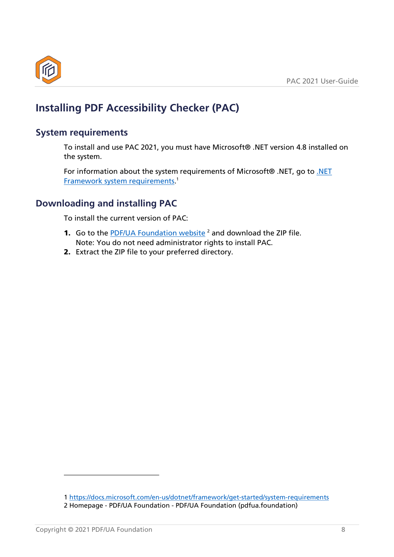

## <span id="page-7-0"></span>**Installing PDF Accessibility Checker (PAC)**

#### <span id="page-7-1"></span>**System requirements**

To install and use PAC 2021, you must have Microsoft® .NET version 4.8 installed on the system.

<span id="page-7-5"></span>For information about the system requirements of Microsoft® .NET, go to [.NET](https://docs.microsoft.com/en-us/dotnet/framework/get-started/system-requirements)  **[Framework system requirements.](https://docs.microsoft.com/en-us/dotnet/framework/get-started/system-requirements)**<sup>[1](#page-7-3)</sup>

#### <span id="page-7-2"></span>**Downloading and installing PAC**

To install the current version of PAC:

- <span id="page-7-6"></span>**1.** Go to the [PDF/UA Foundation website](https://pdfua.foundation/en)  $2$  and download the ZIP file. Note: You do not need administrator rights to install PAC.
- 2. Extract the ZIP file to your preferred directory.

<span id="page-7-4"></span><span id="page-7-3"></span>[<sup>1</sup>](#page-7-5) <https://docs.microsoft.com/en-us/dotnet/framework/get-started/system-requirements> [2](#page-7-6) Homepage - PDF/UA Foundation - [PDF/UA Foundation \(pdfua.foundation\)](https://pdfua.foundation/en)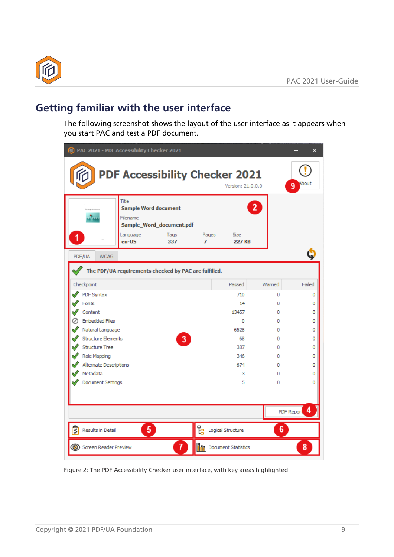

## <span id="page-8-0"></span>**Getting familiar with the user interface**

The following screenshot shows the layout of the user interface as it appears when you start PAC and test a PDF document.

| (2021 - PDF Accessibility Checker 2021        |                                                                       |                                         |            |                               |                | $\times$        |
|-----------------------------------------------|-----------------------------------------------------------------------|-----------------------------------------|------------|-------------------------------|----------------|-----------------|
|                                               | <b>PDF Accessibility Checker 2021</b>                                 |                                         |            | Version: 21.0.0.0             |                | About<br>9      |
|                                               | Title<br><b>Sample Word document</b><br>Filename<br>Language<br>en-US | Sample_Word_document.pdf<br>Tags<br>337 | Pages<br>7 | <b>Size</b><br><b>227 KB</b>  | $\overline{2}$ |                 |
|                                               |                                                                       |                                         |            |                               |                |                 |
| PDF/UA<br><b>WCAG</b>                         |                                                                       |                                         |            |                               |                |                 |
|                                               | The PDF/UA requirements checked by PAC are fulfilled.                 |                                         |            |                               |                |                 |
| Checkpoint                                    |                                                                       |                                         |            | Passed                        | Warned         | Failed          |
| <b>PDF Syntax</b>                             |                                                                       |                                         |            | 710                           | o              | 0               |
| Fonts                                         |                                                                       |                                         |            | 14                            | 0              | 0               |
| Content                                       |                                                                       |                                         |            | 13457                         | 0              | 0               |
| <b>Embedded Files</b>                         |                                                                       |                                         |            | 0                             | 0              | 0               |
| Natural Language<br><b>Structure Elements</b> |                                                                       |                                         |            | 6528<br>68                    | 0<br>0         | 0               |
| <b>Structure Tree</b>                         |                                                                       | $\overline{\mathbf{3}}$                 |            | 337                           | 0              | 0<br>0          |
| Role Mapping                                  |                                                                       |                                         |            | 346                           | 0              | 0               |
| Alternate Descriptions                        |                                                                       |                                         |            | 674                           | 0              | 0               |
| Metadata                                      |                                                                       |                                         |            | 3                             | 0              | 0               |
| <b>Document Settings</b>                      |                                                                       |                                         |            | 5                             | 0              | 0               |
|                                               |                                                                       |                                         |            |                               |                | 4<br>PDF Report |
|                                               |                                                                       |                                         |            |                               |                |                 |
| इ<br><b>Results in Detail</b>                 | 5                                                                     |                                         | 먾          | Logical Structure             | 6              |                 |
| Screen Reader Preview                         |                                                                       | 7                                       |            | <b>In Pocument Statistics</b> |                | 8               |

Figure 2: The PDF Accessibility Checker user interface, with key areas highlighted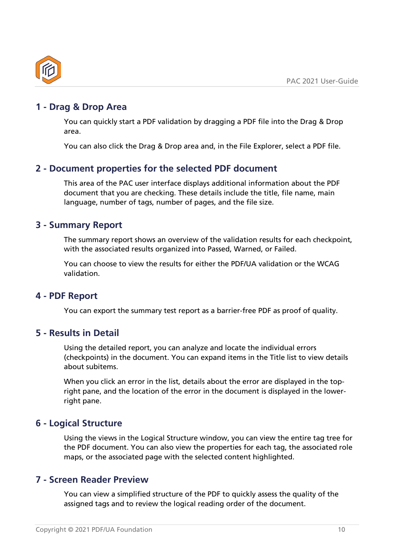

#### <span id="page-9-0"></span>**1 - Drag & Drop Area**

You can quickly start a PDF validation by dragging a PDF file into the Drag & Drop area.

You can also click the Drag & Drop area and, in the File Explorer, select a PDF file.

#### <span id="page-9-1"></span>**2 - Document properties for the selected PDF document**

This area of the PAC user interface displays additional information about the PDF document that you are checking. These details include the title, file name, main language, number of tags, number of pages, and the file size.

#### <span id="page-9-2"></span>**3 - Summary Report**

The summary report shows an overview of the validation results for each checkpoint, with the associated results organized into Passed, Warned, or Failed.

You can choose to view the results for either the PDF/UA validation or the WCAG validation.

#### <span id="page-9-3"></span>**4 - PDF Report**

You can export the summary test report as a barrier-free PDF as proof of quality.

#### <span id="page-9-4"></span>**5 - Results in Detail**

Using the detailed report, you can analyze and locate the individual errors (checkpoints) in the document. You can expand items in the Title list to view details about subitems.

When you click an error in the list, details about the error are displayed in the topright pane, and the location of the error in the document is displayed in the lowerright pane.

#### <span id="page-9-5"></span>**6 - Logical Structure**

Using the views in the Logical Structure window, you can view the entire tag tree for the PDF document. You can also view the properties for each tag, the associated role maps, or the associated page with the selected content highlighted.

#### <span id="page-9-6"></span>**7 - Screen Reader Preview**

You can view a simplified structure of the PDF to quickly assess the quality of the assigned tags and to review the logical reading order of the document.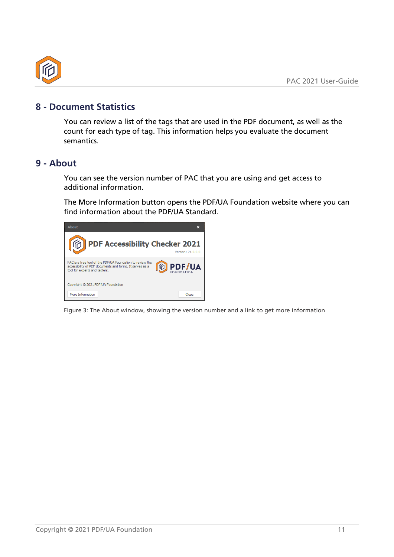

#### <span id="page-10-0"></span>**8 - Document Statistics**

You can review a list of the tags that are used in the PDF document, as well as the count for each type of tag. This information helps you evaluate the document semantics.

#### <span id="page-10-1"></span>**9 - About**

You can see the version number of PAC that you are using and get access to additional information.

The More Information button opens the PDF/UA Foundation website where you can find information about the PDF/UA Standard.



Figure 3: The About window, showing the version number and a link to get more information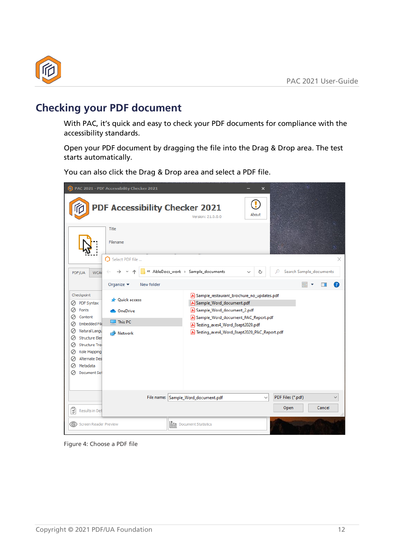

## <span id="page-11-0"></span>**Checking your PDF document**

With PAC, it's quick and easy to check your PDF documents for compliance with the accessibility standards.

Open your PDF document by dragging the file into the Drag & Drop area. The test starts automatically.

You can also click the Drag & Drop area and select a PDF file.

|                                                                                                                                                                                                                                                                   | PAC 2021 - PDF Accessibility Checker 2021                      |            |                                                                                                                                                                                                                                             | $\times$     |                           |                         |   |
|-------------------------------------------------------------------------------------------------------------------------------------------------------------------------------------------------------------------------------------------------------------------|----------------------------------------------------------------|------------|---------------------------------------------------------------------------------------------------------------------------------------------------------------------------------------------------------------------------------------------|--------------|---------------------------|-------------------------|---|
|                                                                                                                                                                                                                                                                   | <b>PDF Accessibility Checker 2021</b>                          |            | Version: 21.0.0.0                                                                                                                                                                                                                           | About        |                           |                         |   |
|                                                                                                                                                                                                                                                                   | Title<br>Filename<br>Select PDF file                           |            |                                                                                                                                                                                                                                             |              |                           |                         | × |
| <b>WCA</b><br>PDF/UA                                                                                                                                                                                                                                              |                                                                |            | « AbleDocs_work > Sample_documents                                                                                                                                                                                                          | Ō            | Ω                         | Search Sample_documents |   |
|                                                                                                                                                                                                                                                                   | Organize $\blacktriangledown$                                  | New folder |                                                                                                                                                                                                                                             |              | 賱                         |                         | 7 |
| Checkpoint<br>PDF Syntax<br>Ø<br>Ø<br>Fonts<br>Content<br>Ø<br>Embedded File<br>Ø<br>Natural Langu<br>Ø<br><b>Structure Eler</b><br>Ø<br><b>Structure Tre</b><br>Ø<br>Role Mapping<br>Ø<br><b>Alternate Des</b><br>Ø<br>Metadata<br>Ø<br>Ø<br><b>Document Set</b> | <b>N</b> Ouick access<br><b>OneDrive</b><br>This PC<br>Network |            | A Sample_restaurant_brochure_no_updates.pdf<br>[&] Sample_Word_document.pdf<br>& Sample_Word_document_2.pdf<br>A Sample_Word_document_PAC_Report.pdf<br>A Testing_axes4_Word_8sept2020.pdf<br>A Testing_axes4_Word_8sept2020_PAC_Report.pdf |              |                           |                         |   |
| ଭି<br>Results in Det                                                                                                                                                                                                                                              |                                                                |            | File name: Sample_Word_document.pdf                                                                                                                                                                                                         | $\checkmark$ | PDF Files (*.pdf)<br>Open | Cancel                  |   |
| Screen Reader Preview                                                                                                                                                                                                                                             |                                                                |            | <b>Document Statistics</b>                                                                                                                                                                                                                  |              |                           |                         |   |

Figure 4: Choose a PDF file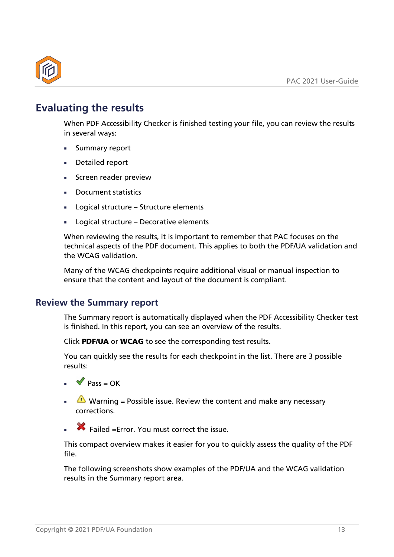

## <span id="page-12-0"></span>**Evaluating the results**

When PDF Accessibility Checker is finished testing your file, you can review the results in several ways:

- Summary report
- Detailed report
- Screen reader preview
- Document statistics
- Logical structure Structure elements
- Logical structure Decorative elements

When reviewing the results, it is important to remember that PAC focuses on the technical aspects of the PDF document. This applies to both the PDF/UA validation and the WCAG validation.

Many of the WCAG checkpoints require additional visual or manual inspection to ensure that the content and layout of the document is compliant.

#### <span id="page-12-1"></span>**Review the Summary report**

The Summary report is automatically displayed when the PDF Accessibility Checker test is finished. In this report, you can see an overview of the results.

Click PDF/UA or WCAG to see the corresponding test results.

You can quickly see the results for each checkpoint in the list. There are 3 possible results:

- $\triangleq \bullet$  Pass = OK
- **E** Warning = Possible issue. Review the content and make any necessary corrections.
- ◾ Failed =Error. You must correct the issue.

This compact overview makes it easier for you to quickly assess the quality of the PDF file.

The following screenshots show examples of the PDF/UA and the WCAG validation results in the Summary report area.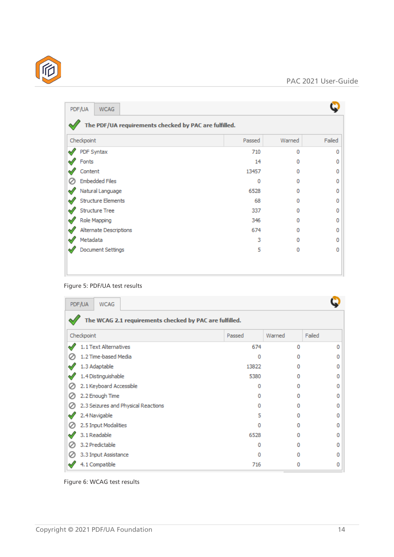| The PDF/UA requirements checked by PAC are fulfilled. |        |          |        |
|-------------------------------------------------------|--------|----------|--------|
| Checkpoint                                            | Passed | Warned   | Failed |
| PDF Syntax                                            | 710    | $\Omega$ | 0      |
| Fonts                                                 | 14     | o        |        |
| Content                                               | 13457  | $\Omega$ |        |
| <b>Embedded Files</b>                                 | 0      | o        |        |
| Natural Language                                      | 6528   | $\Omega$ |        |
| <b>Structure Elements</b>                             | 68     | o        |        |
| <b>Structure Tree</b>                                 | 337    | o        |        |
| Role Mapping                                          | 346    | Ω        |        |
| Alternate Descriptions                                | 674    | o        |        |
| Metadata                                              | 3      | $\Omega$ |        |
| <b>Document Settings</b>                              | 5      | $\Omega$ |        |

#### Figure 5: PDF/UA test results

|   | PDF/UA<br><b>WCAG</b>                                   |        |        |        |  |  |  |  |  |  |  |  |  |
|---|---------------------------------------------------------|--------|--------|--------|--|--|--|--|--|--|--|--|--|
|   | The WCAG 2.1 requirements checked by PAC are fulfilled. |        |        |        |  |  |  |  |  |  |  |  |  |
|   | Checkpoint                                              | Passed | Warned | Failed |  |  |  |  |  |  |  |  |  |
| ≪ | 1.1 Text Alternatives                                   | 674    | o      | 0      |  |  |  |  |  |  |  |  |  |
|   | 1.2 Time-based Media                                    | 0      | n      | 0      |  |  |  |  |  |  |  |  |  |
|   | 1.3 Adaptable                                           | 13822  | n      | 0      |  |  |  |  |  |  |  |  |  |
|   | 1.4 Distinguishable                                     | 5380   | o      | 0      |  |  |  |  |  |  |  |  |  |
|   | 2.1 Keyboard Accessible                                 | o      | n      | 0      |  |  |  |  |  |  |  |  |  |
|   | 2.2 Enough Time                                         | Ω      | n      | 0      |  |  |  |  |  |  |  |  |  |
|   | 2.3 Seizures and Physical Reactions                     | o      | n      | ο      |  |  |  |  |  |  |  |  |  |
|   | 2.4 Navigable                                           | 5      | o      | Ω      |  |  |  |  |  |  |  |  |  |
|   | 2.5 Input Modalities                                    | o      | n      | 0      |  |  |  |  |  |  |  |  |  |
|   | 3.1 Readable                                            | 6528   | n      | 0      |  |  |  |  |  |  |  |  |  |
|   | 3.2 Predictable                                         | 0      | n      | 0      |  |  |  |  |  |  |  |  |  |
|   | 3.3 Input Assistance                                    | ٥      | o      | 0      |  |  |  |  |  |  |  |  |  |
|   | 4.1 Compatible                                          | 716    | Ω      | 0      |  |  |  |  |  |  |  |  |  |

Figure 6: WCAG test results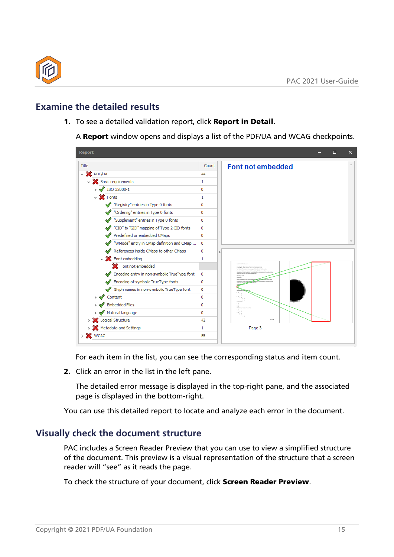

#### <span id="page-14-0"></span>**Examine the detailed results**

1. To see a detailed validation report, click Report in Detail.

A Report window opens and displays a list of the PDF/UA and WCAG checkpoints.

| <b>Report</b>                                |       | □<br>$\times$                              |
|----------------------------------------------|-------|--------------------------------------------|
| Title                                        | Count | <b>Font not embedded</b>                   |
| $\vee$ <b>X</b> PDF/UA                       | 44    |                                            |
| $\vee$ Sasic requirements                    | 1     |                                            |
| $\rightarrow \sqrt{$ ISO 32000-1             | 0     |                                            |
| $\vee$ X Fonts                               | 1     |                                            |
| "Registry" entries in Type 0 fonts           | 0     |                                            |
| "Ordering" entries in Type 0 fonts           | 0     |                                            |
| "Supplement" entries in Type 0 fonts         | 0     |                                            |
| "CID" to "GID" mapping of Type 2 CID fonts   | 0     |                                            |
| Predefined or embedded CMaps                 | 0     |                                            |
| "WMode" entry in CMap definition and CMap    | 0     |                                            |
| References inside CMaps to other CMaps       | 0     | $\mathbf{r}$                               |
| $\vee$ > Font embedding                      | 1     |                                            |
| Font not embedded                            |       | teaching 1 - Eventuries of common Word and |
| Encoding entry in non-symbolic TrueType font | 0     |                                            |
| Encoding of symbolic TrueType fonts          | 0     |                                            |
| Glyph names in non-symbolic TrueType font    | 0     |                                            |
| Content                                      | 0     |                                            |
| <b>Embedded Files</b>                        | 0     |                                            |
| Natural language                             | 0     | Æ                                          |
| Logical Structure                            | 42    |                                            |
| Metadata and Settings                        | 1     | Page 3                                     |
| $\rightarrow$ <b>X</b> WCAG                  | 55    |                                            |
|                                              |       |                                            |

For each item in the list, you can see the corresponding status and item count.

2. Click an error in the list in the left pane.

The detailed error message is displayed in the top-right pane, and the associated page is displayed in the bottom-right.

You can use this detailed report to locate and analyze each error in the document.

#### <span id="page-14-1"></span>**Visually check the document structure**

PAC includes a Screen Reader Preview that you can use to view a simplified structure of the document. This preview is a visual representation of the structure that a screen reader will "see" as it reads the page.

To check the structure of your document, click Screen Reader Preview.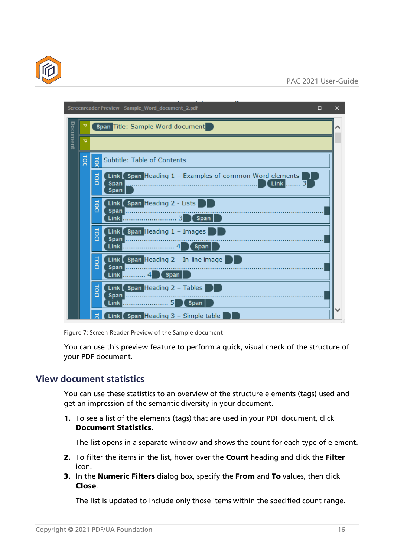



Figure 7: Screen Reader Preview of the Sample document

You can use this preview feature to perform a quick, visual check of the structure of your PDF document.

#### <span id="page-15-0"></span>**View document statistics**

You can use these statistics to an overview of the structure elements (tags) used and get an impression of the semantic diversity in your document.

1. To see a list of the elements (tags) that are used in your PDF document, click Document Statistics.

The list opens in a separate window and shows the count for each type of element.

- 2. To filter the items in the list, hover over the **Count** heading and click the Filter icon.
- 3. In the **Numeric Filters** dialog box, specify the From and To values, then click Close.

The list is updated to include only those items within the specified count range.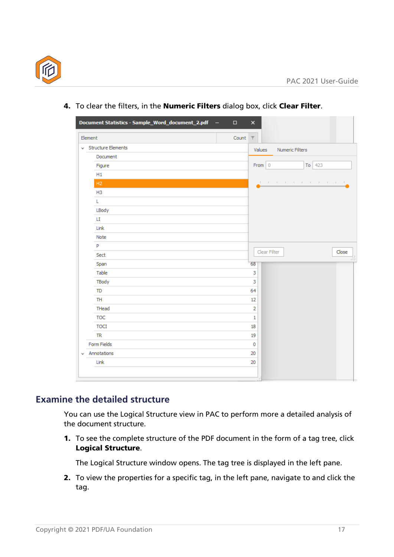

| $\vee$ Structure Elements<br>Values<br>Numeric Filters<br>Document<br>From 0<br>To 423<br>Figure<br>H1<br>H2<br>the main term of the first contract and the dis-<br>H <sub>3</sub><br>L<br>LBody<br>LI.<br>Link<br>Note<br>P<br>Clear Filter<br>Sect<br>Span<br>68<br>Table<br>3<br>TBody<br>3<br>64<br><b>TD</b><br><b>TH</b><br>12<br>THead<br>2<br><b>TOC</b><br>$\mathbf{1}$<br><b>TOCI</b><br>18<br><b>TR</b><br>19<br>Form Fields<br>$\bf{0}$<br>Annotations<br>20 | Element | Count | $\overline{\top}$ |  |       |
|--------------------------------------------------------------------------------------------------------------------------------------------------------------------------------------------------------------------------------------------------------------------------------------------------------------------------------------------------------------------------------------------------------------------------------------------------------------------------|---------|-------|-------------------|--|-------|
|                                                                                                                                                                                                                                                                                                                                                                                                                                                                          |         |       |                   |  |       |
|                                                                                                                                                                                                                                                                                                                                                                                                                                                                          |         |       |                   |  |       |
|                                                                                                                                                                                                                                                                                                                                                                                                                                                                          |         |       |                   |  |       |
|                                                                                                                                                                                                                                                                                                                                                                                                                                                                          |         |       |                   |  |       |
|                                                                                                                                                                                                                                                                                                                                                                                                                                                                          |         |       |                   |  |       |
|                                                                                                                                                                                                                                                                                                                                                                                                                                                                          |         |       |                   |  |       |
|                                                                                                                                                                                                                                                                                                                                                                                                                                                                          |         |       |                   |  |       |
|                                                                                                                                                                                                                                                                                                                                                                                                                                                                          |         |       |                   |  |       |
|                                                                                                                                                                                                                                                                                                                                                                                                                                                                          |         |       |                   |  |       |
|                                                                                                                                                                                                                                                                                                                                                                                                                                                                          |         |       |                   |  |       |
|                                                                                                                                                                                                                                                                                                                                                                                                                                                                          |         |       |                   |  |       |
|                                                                                                                                                                                                                                                                                                                                                                                                                                                                          |         |       |                   |  |       |
|                                                                                                                                                                                                                                                                                                                                                                                                                                                                          |         |       |                   |  | Close |
|                                                                                                                                                                                                                                                                                                                                                                                                                                                                          |         |       |                   |  |       |
|                                                                                                                                                                                                                                                                                                                                                                                                                                                                          |         |       |                   |  |       |
|                                                                                                                                                                                                                                                                                                                                                                                                                                                                          |         |       |                   |  |       |
|                                                                                                                                                                                                                                                                                                                                                                                                                                                                          |         |       |                   |  |       |
|                                                                                                                                                                                                                                                                                                                                                                                                                                                                          |         |       |                   |  |       |
|                                                                                                                                                                                                                                                                                                                                                                                                                                                                          |         |       |                   |  |       |
|                                                                                                                                                                                                                                                                                                                                                                                                                                                                          |         |       |                   |  |       |
|                                                                                                                                                                                                                                                                                                                                                                                                                                                                          |         |       |                   |  |       |
|                                                                                                                                                                                                                                                                                                                                                                                                                                                                          |         |       |                   |  |       |
|                                                                                                                                                                                                                                                                                                                                                                                                                                                                          |         |       |                   |  |       |
|                                                                                                                                                                                                                                                                                                                                                                                                                                                                          |         |       |                   |  |       |

4. To clear the filters, in the Numeric Filters dialog box, click Clear Filter.

#### <span id="page-16-0"></span>**Examine the detailed structure**

You can use the Logical Structure view in PAC to perform more a detailed analysis of the document structure.

1. To see the complete structure of the PDF document in the form of a tag tree, click Logical Structure.

The Logical Structure window opens. The tag tree is displayed in the left pane.

2. To view the properties for a specific tag, in the left pane, navigate to and click the tag.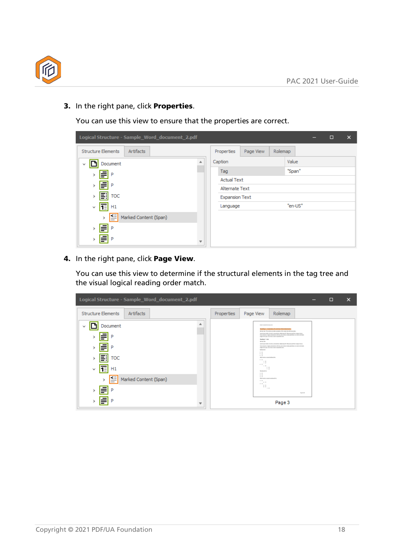

3. In the right pane, click Properties.

You can use this view to ensure that the properties are correct.

| Logical Structure - Sample_Word_document_2.pdf |                       |           |         |        |  | $\Box$ | $\times$ |
|------------------------------------------------|-----------------------|-----------|---------|--------|--|--------|----------|
| <b>Structure Elements</b><br>Artifacts         | Properties            | Page View | Rolemap |        |  |        |          |
| Document                                       | Caption               |           |         | Value  |  |        |          |
| ≡<br>P                                         | Tag                   |           |         | "Span" |  |        |          |
|                                                | <b>Actual Text</b>    |           |         |        |  |        |          |
| €<br>-P                                        | Alternate Text        |           |         |        |  |        |          |
| 团<br><b>TOC</b>                                | <b>Expansion Text</b> |           |         |        |  |        |          |
| 恒<br>H1<br>v                                   | Language              |           | "en-US" |        |  |        |          |
| 图<br>Marked Content (Span)<br>$\mathcal{F}$    |                       |           |         |        |  |        |          |
| ⋚<br>P                                         |                       |           |         |        |  |        |          |
| ⋚<br>$\mathsf{P}$                              |                       |           |         |        |  |        |          |

4. In the right pane, click Page View.

You can use this view to determine if the structural elements in the tag tree and the visual logical reading order match.

| Logical Structure - Sample_Word_document_2.pdf         |            |                                                                                                                                                                                                                                                                                                                                                                                                                                                                                                                                                                                                                                                                                                                                                                                                                                                                      | $\Box$ | $\times$ |
|--------------------------------------------------------|------------|----------------------------------------------------------------------------------------------------------------------------------------------------------------------------------------------------------------------------------------------------------------------------------------------------------------------------------------------------------------------------------------------------------------------------------------------------------------------------------------------------------------------------------------------------------------------------------------------------------------------------------------------------------------------------------------------------------------------------------------------------------------------------------------------------------------------------------------------------------------------|--------|----------|
| <b>Structure Elements</b><br>Artifacts                 | Properties | Rolemap<br>Page View                                                                                                                                                                                                                                                                                                                                                                                                                                                                                                                                                                                                                                                                                                                                                                                                                                                 |        |          |
| ≖<br>Document<br>TOC<br>=:<br>1≣<br>H1<br>$\checkmark$ |            | <b>Business and the company's</b><br>Roding L - Gramples of sprinters fate-pipemant<br>Nimal set the action product annulous frie value that interferences<br>(won's syndicial about, consistors additing of). Maximum with a sega wood.<br>hard project, major antisoletic attribute personalist transaction of attenuational<br>many morals and item stemsingwate order.<br>Rendra 3-Liste<br><b>MOVED WITH</b><br>(exempted with the above and the complete original of the company of the company of the<br>Next ensers make an entertain shorts, considers a relevant form of entropyring<br>experience gale area. Now element expended and r.<br><b>Bulletin Bill</b><br>$\sim$ $\sim$<br>$+0$<br>$+10$<br>Rott test or money indexed by<br>$\sim$ 10.<br><b>COL</b><br>$-1$<br>$+1$<br>$-1.58$<br>$-1$<br>$-18$<br><b>Ryademediat</b><br><b>A. M.</b><br>L, D |        |          |
| ≊<br>Marked Content (Span)<br>$\overline{\phantom{a}}$ |            | 8. 10<br>But it and an excited in reduced list.<br><b>1. IL</b><br>$-1.1$<br>1. 10<br>8.18                                                                                                                                                                                                                                                                                                                                                                                                                                                                                                                                                                                                                                                                                                                                                                           |        |          |
| P<br>=                                                 |            | $h$ $D$<br>4.18<br><b>Age &amp; critic</b>                                                                                                                                                                                                                                                                                                                                                                                                                                                                                                                                                                                                                                                                                                                                                                                                                           |        |          |
| ▼                                                      |            | Page 3                                                                                                                                                                                                                                                                                                                                                                                                                                                                                                                                                                                                                                                                                                                                                                                                                                                               |        |          |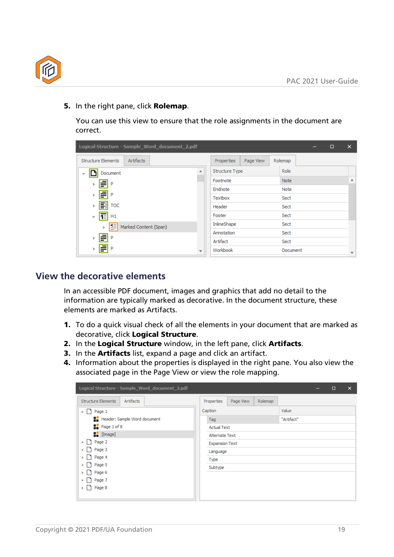

5. In the right pane, click Rolemap.

You can use this view to ensure that the role assignments in the document are correct.

| Logical Structure - Sample Word document 2.pdf |   |                       |           |             | – | $\Box$ | $\times$                 |
|------------------------------------------------|---|-----------------------|-----------|-------------|---|--------|--------------------------|
| Artifacts<br><b>Structure Elements</b>         |   | <b>Properties</b>     | Page View | Rolemap     |   |        |                          |
| Document                                       |   | <b>Structure Type</b> |           | Role        |   |        |                          |
| ₹<br>P                                         |   | Footnote              |           | <b>Note</b> |   |        | ▲                        |
|                                                |   | Endnote               |           | Note        |   |        |                          |
| ≣l P                                           |   | Textbox               |           | Sect        |   |        |                          |
| 国<br>TOC<br>$\rightarrow$                      |   | Header                |           | Sect        |   |        |                          |
| TE H1<br>v                                     |   | Footer                |           | Sect        |   |        |                          |
| ᅊ<br>Marked Content (Span)<br>>                |   | InlineShape           |           | Sect        |   |        |                          |
| -P                                             |   | Annotation            |           | Sect        |   |        |                          |
| ≣<br>r                                         |   | Artifact              |           | Sect        |   |        |                          |
| ⋚<br>-P                                        | v | Workbook              |           | Document    |   |        | $\overline{\phantom{a}}$ |

#### <span id="page-18-0"></span>**View the decorative elements**

In an accessible PDF document, images and graphics that add no detail to the information are typically marked as decorative. In the document structure, these elements are marked as Artifacts.

- 1. To do a quick visual check of all the elements in your document that are marked as decorative, click Logical Structure.
- 2. In the Logical Structure window, in the left pane, click Artifacts.
- 3. In the **Artifacts** list, expand a page and click an artifact.
- 4. Information about the properties is displayed in the right pane. You also view the associated page in the Page View or view the role mapping.

| Logical Structure - Sample_Word_document_2.pdf                  |                       |           |         |       | - | $\Box$ | $\times$ |
|-----------------------------------------------------------------|-----------------------|-----------|---------|-------|---|--------|----------|
| <b>Structure Elements</b><br>Artifacts                          | Properties            | Page View | Rolemap |       |   |        |          |
| $\vee$   Page 1                                                 | Caption               |           |         | Value |   |        |          |
| Header: Sample Word document                                    | "Artifact"<br>Tag     |           |         |       |   |        |          |
| $\frac{1}{2}$ Page 1 of 8                                       | <b>Actual Text</b>    |           |         |       |   |        |          |
| $\begin{bmatrix} \cdot \\ \cdot \\ \cdot \end{bmatrix}$ [Image] | <b>Alternate Text</b> |           |         |       |   |        |          |
| Page 2<br>Page 3<br>Page 4                                      | <b>Expansion Text</b> |           |         |       |   |        |          |
|                                                                 | Language              |           |         |       |   |        |          |
|                                                                 | Type                  |           |         |       |   |        |          |
| Page 5                                                          | Subtype               |           |         |       |   |        |          |
| Page 6                                                          |                       |           |         |       |   |        |          |
| Page 7                                                          |                       |           |         |       |   |        |          |
| $\uparrow$ Page 8                                               |                       |           |         |       |   |        |          |
|                                                                 |                       |           |         |       |   |        |          |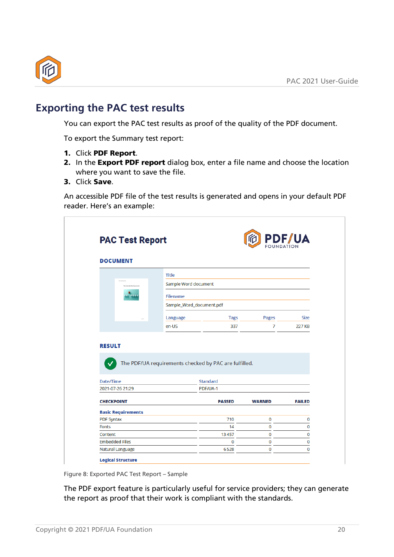

## <span id="page-19-0"></span>**Exporting the PAC test results**

You can export the PAC test results as proof of the quality of the PDF document.

To export the Summary test report:

- 1. Click PDF Report.
- 2. In the Export PDF report dialog box, enter a file name and choose the location where you want to save the file.
- 3. Click Save.

An accessible PDF file of the test results is generated and opens in your default PDF reader. Here's an example:

| <b>DOCUMENT</b>                                                     |                                                       |                      |               |                              |
|---------------------------------------------------------------------|-------------------------------------------------------|----------------------|---------------|------------------------------|
|                                                                     | <b>Title</b>                                          |                      |               |                              |
| Title Sample Mont-Bocoment                                          |                                                       | Sample Word document |               |                              |
|                                                                     | Filename                                              |                      |               |                              |
|                                                                     | Sample_Word_document.pdf                              |                      |               |                              |
|                                                                     |                                                       |                      |               |                              |
|                                                                     | Language<br>en-US                                     | <b>Tags</b><br>337   | Pages<br>7    | <b>Size</b><br><b>227 KB</b> |
|                                                                     |                                                       |                      |               |                              |
|                                                                     | The PDF/UA requirements checked by PAC are fulfilled. |                      |               |                              |
|                                                                     |                                                       | <b>Standard</b>      |               |                              |
|                                                                     |                                                       | PDF/UA-1             |               |                              |
| <b>RESULT</b><br>Date/Time<br>2021-07-26 21:29<br><b>CHECKPOINT</b> |                                                       | <b>PASSED</b>        | <b>WARNED</b> | <b>FAILED</b>                |
| <b>Basic Requirements</b>                                           |                                                       |                      |               |                              |
| <b>PDF Syntax</b>                                                   |                                                       | 710                  | 0             | $\bf{0}$                     |
| <b>Fonts</b>                                                        |                                                       | 14                   | $\bf{0}$      | $\bf{0}$                     |
| Content<br><b>Embedded Files</b>                                    |                                                       | 13457<br>0           | 0<br>0        | 0<br>$\bf{0}$                |

The PDF export feature is particularly useful for service providers; they can generate the report as proof that their work is compliant with the standards.

Figure 8: Exported PAC Test Report – Sample